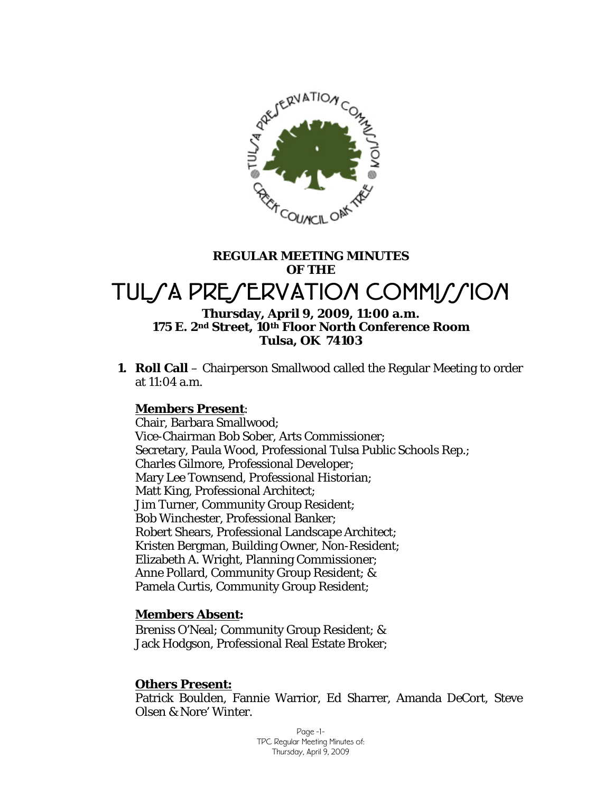

# **REGULAR MEETING MINUTES OF THE**  TULSA PRESERVATION COMMISSION **Thursday, April 9, 2009, 11:00 a.m.**

# **175 E. 2nd Street, 10th Floor North Conference Room Tulsa, OK 74103**

**1. Roll Call** – Chairperson Smallwood called the Regular Meeting to order at 11:04 a.m.

## **Members Present**:

Chair, Barbara Smallwood; Vice-Chairman Bob Sober, Arts Commissioner; Secretary, Paula Wood, Professional Tulsa Public Schools Rep.; Charles Gilmore, Professional Developer; Mary Lee Townsend, Professional Historian; Matt King, Professional Architect; Jim Turner, Community Group Resident; Bob Winchester, Professional Banker; Robert Shears, Professional Landscape Architect; Kristen Bergman, Building Owner, Non-Resident; Elizabeth A. Wright, Planning Commissioner; Anne Pollard, Community Group Resident; & Pamela Curtis, Community Group Resident;

#### **Members Absent:**

Breniss O'Neal; Community Group Resident; & Jack Hodgson, Professional Real Estate Broker;

#### **Others Present:**

Patrick Boulden, Fannie Warrior, Ed Sharrer, Amanda DeCort, Steve Olsen & Nore' Winter.

> Page -1- TPC Regular Meeting Minutes of: Thursday, April 9, 2009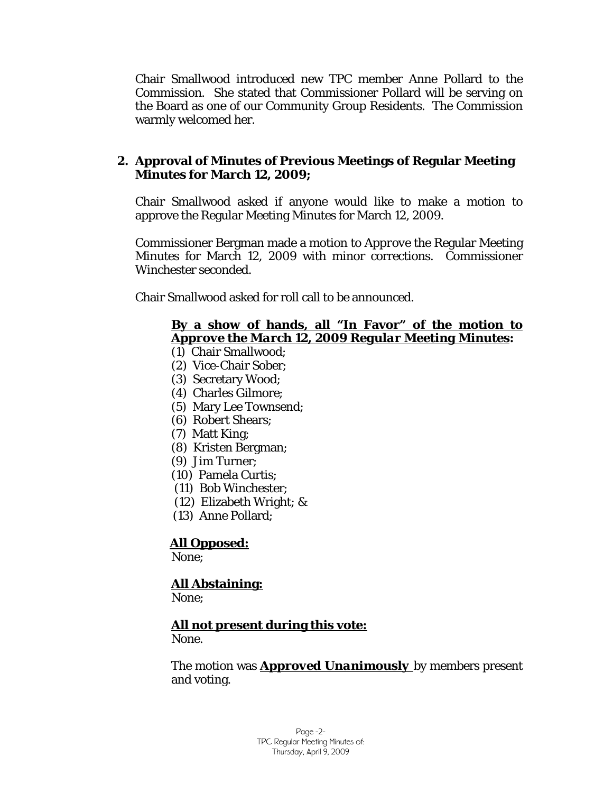Chair Smallwood introduced new TPC member Anne Pollard to the Commission. She stated that Commissioner Pollard will be serving on the Board as one of our Community Group Residents. The Commission warmly welcomed her.

#### **2. Approval of Minutes of Previous Meetings of Regular Meeting Minutes for March 12, 2009;**

Chair Smallwood asked if anyone would like to make a motion to approve the Regular Meeting Minutes for March 12, 2009.

Commissioner Bergman made a motion to *Approve* the Regular Meeting Minutes for March 12, 2009 with minor corrections. Commissioner Winchester seconded.

Chair Smallwood asked for roll call to be announced.

#### **By a show of hands, all "In Favor" of the motion to**  *Approve the March 12, 2009 Regular Meeting Minutes***:**

- (1) Chair Smallwood;
- (2) Vice-Chair Sober;
- (3) Secretary Wood;
- (4) Charles Gilmore;
- (5) Mary Lee Townsend;
- (6) Robert Shears;
- (7) Matt King;
- (8) Kristen Bergman;
- (9) Jim Turner;
- (10) Pamela Curtis;
- (11) Bob Winchester;
- (12) Elizabeth Wright; &
- (13) Anne Pollard;

# **All Opposed:**

None;

# **All Abstaining:**

None;

## **All not present during this vote:**

None.

The motion was *Approved Unanimously* by members present and voting.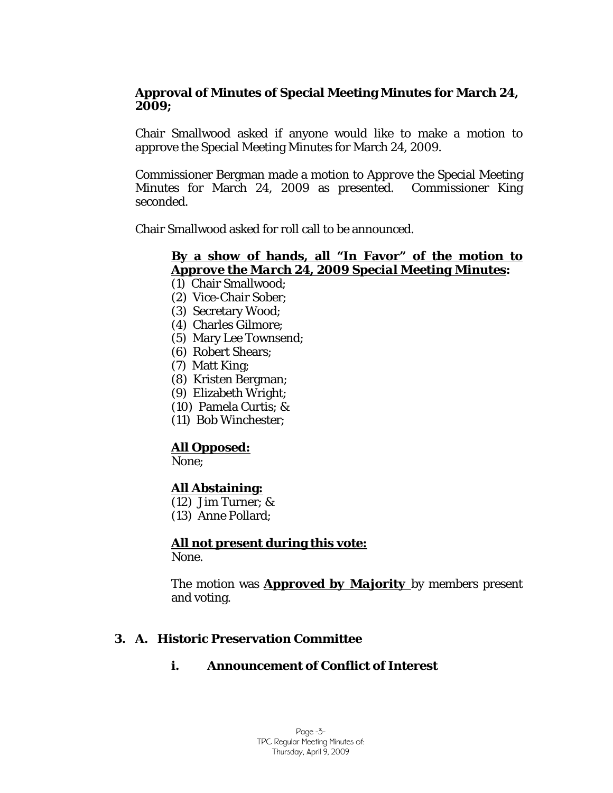#### **Approval of Minutes of Special Meeting Minutes for March 24, 2009;**

Chair Smallwood asked if anyone would like to make a motion to approve the Special Meeting Minutes for March 24, 2009.

Commissioner Bergman made a motion to *Approve* the Special Meeting Minutes for March 24, 2009 as presented. Commissioner King seconded.

Chair Smallwood asked for roll call to be announced.

#### **By a show of hands, all "In Favor" of the motion to**  *Approve the March 24, 2009 Special Meeting Minutes***:**

- (1) Chair Smallwood;
- (2) Vice-Chair Sober;
- (3) Secretary Wood;
- (4) Charles Gilmore;
- (5) Mary Lee Townsend;
- (6) Robert Shears;
- (7) Matt King;
- (8) Kristen Bergman;
- (9) Elizabeth Wright;
- (10) Pamela Curtis; &
- (11) Bob Winchester;

# **All Opposed:**

None;

## **All Abstaining:**

- (12) Jim Turner; &
- (13) Anne Pollard;

## **All not present during this vote:**

None.

The motion was *Approved by Majority* by members present and voting.

## **3. A. Historic Preservation Committee**

## **i. Announcement of Conflict of Interest**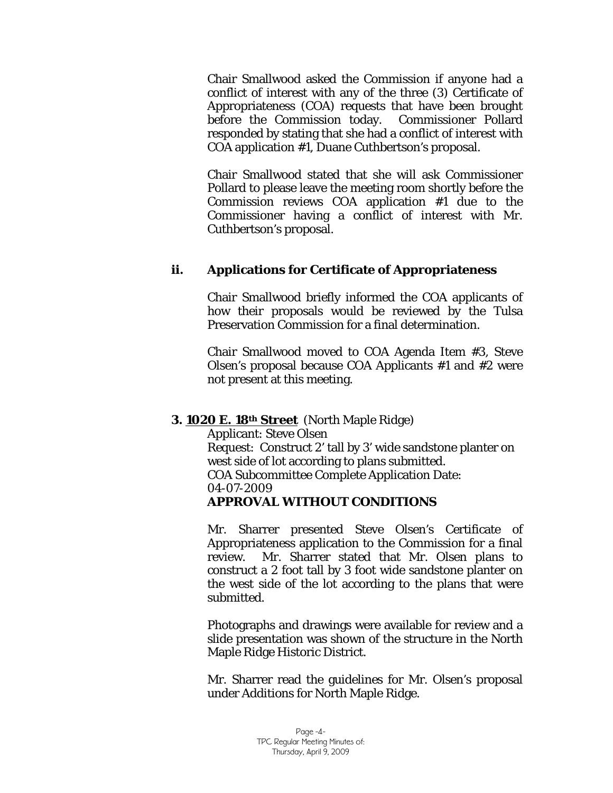Chair Smallwood asked the Commission if anyone had a conflict of interest with any of the three (3) Certificate of Appropriateness (COA) requests that have been brought before the Commission today. Commissioner Pollard responded by stating that she had a conflict of interest with COA application #1, Duane Cuthbertson's proposal.

Chair Smallwood stated that she will ask Commissioner Pollard to please leave the meeting room shortly before the Commission reviews COA application #1 due to the Commissioner having a conflict of interest with Mr. Cuthbertson's proposal.

#### **ii. Applications for Certificate of Appropriateness**

Chair Smallwood briefly informed the COA applicants of how their proposals would be reviewed by the Tulsa Preservation Commission for a final determination.

Chair Smallwood moved to COA Agenda Item #3, Steve Olsen's proposal because COA Applicants #1 and #2 were not present at this meeting.

#### **3. 1020 E. 18th Street** (North Maple Ridge)

Applicant: Steve Olsen Request: Construct 2' tall by 3' wide sandstone planter on west side of lot according to plans submitted. COA Subcommittee Complete Application Date: 04-07-2009 *APPROVAL WITHOUT CONDITIONS* 

Mr. Sharrer presented Steve Olsen's Certificate of Appropriateness application to the Commission for a final review. Mr. Sharrer stated that Mr. Olsen plans to construct a 2 foot tall by 3 foot wide sandstone planter on the west side of the lot according to the plans that were submitted.

Photographs and drawings were available for review and a slide presentation was shown of the structure in the North Maple Ridge Historic District.

Mr. Sharrer read the guidelines for Mr. Olsen's proposal under *Additions* for North Maple Ridge.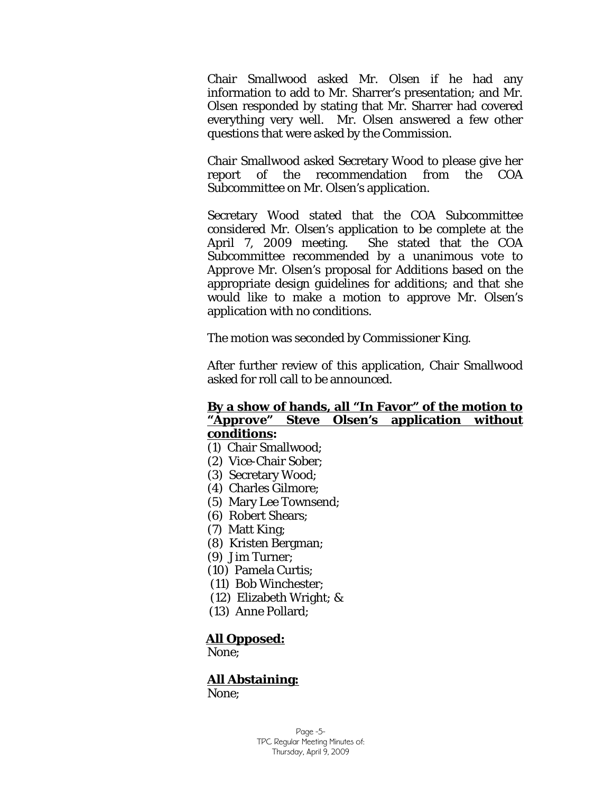Chair Smallwood asked Mr. Olsen if he had any information to add to Mr. Sharrer's presentation; and Mr. Olsen responded by stating that Mr. Sharrer had covered everything very well. Mr. Olsen answered a few other questions that were asked by the Commission.

Chair Smallwood asked Secretary Wood to please give her report of the recommendation from the COA Subcommittee on Mr. Olsen's application.

Secretary Wood stated that the COA Subcommittee considered Mr. Olsen's application to be complete at the April 7, 2009 meeting. She stated that the COA Subcommittee recommended by a unanimous vote to *Approve* Mr. Olsen's proposal for *Additions* based on the appropriate design guidelines for additions; and that she would like to make a motion to approve Mr. Olsen's application with no conditions.

The motion was seconded by Commissioner King.

After further review of this application, Chair Smallwood asked for roll call to be announced.

#### **By a show of hands, all "In Favor" of the motion to "***Approve"* **Steve Olsen's application without conditions:**

- (1) Chair Smallwood;
- (2) Vice-Chair Sober;
- (3) Secretary Wood;
- (4) Charles Gilmore;
- (5) Mary Lee Townsend;
- (6) Robert Shears;
- (7) Matt King;
- (8) Kristen Bergman;
- (9) Jim Turner;
- (10) Pamela Curtis;
- (11) Bob Winchester;
- (12) Elizabeth Wright; &
- (13) Anne Pollard;

#### **All Opposed:**

None;

## **All Abstaining:**

None;

Page -5- TPC Regular Meeting Minutes of: Thursday, April 9, 2009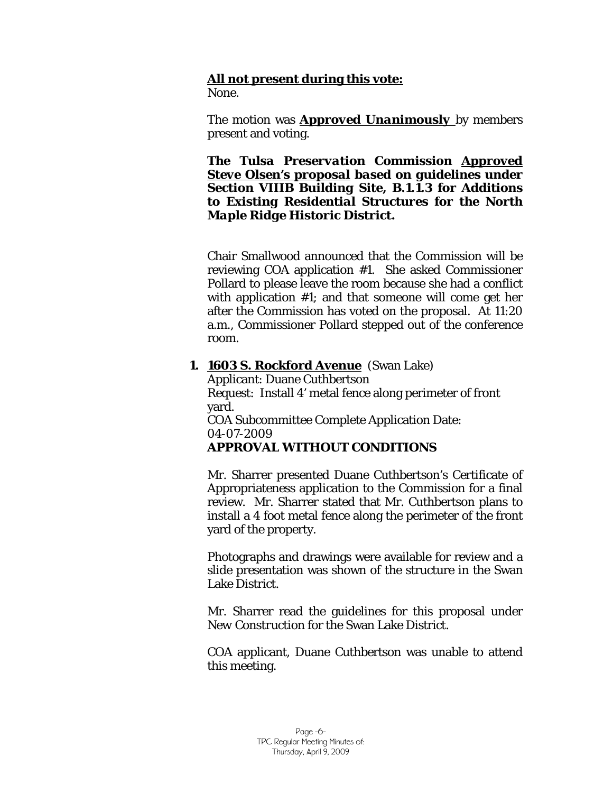## **All not present during this vote:**

None.

The motion was *Approved Unanimously* by members present and voting.

*The Tulsa Preservation Commission Approved Steve Olsen's proposal based on guidelines under Section VIIIB Building Site, B.1.1.3 for Additions to Existing Residential Structures for the North Maple Ridge Historic District.*

Chair Smallwood announced that the Commission will be reviewing COA application #1. She asked Commissioner Pollard to please leave the room because she had a conflict with application #1; and that someone will come get her after the Commission has voted on the proposal. At 11:20 a.m., Commissioner Pollard stepped out of the conference room.

#### **1. 1603 S. Rockford Avenue** (Swan Lake)

Applicant: Duane Cuthbertson Request: Install 4' metal fence along perimeter of front yard. COA Subcommittee Complete Application Date: 04-07-2009 *APPROVAL WITHOUT CONDITIONS* 

Mr. Sharrer presented Duane Cuthbertson's Certificate of Appropriateness application to the Commission for a final review. Mr. Sharrer stated that Mr. Cuthbertson plans to install a 4 foot metal fence along the perimeter of the front yard of the property.

Photographs and drawings were available for review and a slide presentation was shown of the structure in the Swan Lake District.

Mr. Sharrer read the guidelines for this proposal under *New Construction* for the Swan Lake District.

COA applicant, Duane Cuthbertson was unable to attend this meeting.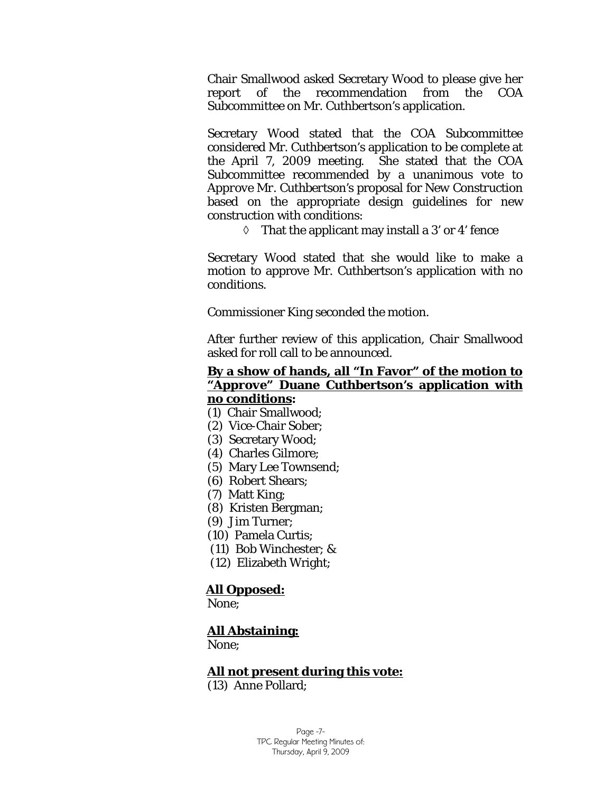Chair Smallwood asked Secretary Wood to please give her report of the recommendation from the COA Subcommittee on Mr. Cuthbertson's application.

Secretary Wood stated that the COA Subcommittee considered Mr. Cuthbertson's application to be complete at the April 7, 2009 meeting. She stated that the COA Subcommittee recommended by a unanimous vote to *Approve Mr. Cuthbertson's* proposal for *New Construction*  based on the appropriate design guidelines for new construction with conditions:

 $\Diamond$  That the applicant may install a 3' or 4' fence

Secretary Wood stated that she would like to make a motion to approve Mr. Cuthbertson's application with no conditions.

Commissioner King seconded the motion.

After further review of this application, Chair Smallwood asked for roll call to be announced.

#### **By a show of hands, all "In Favor" of the motion to "***Approve"* **Duane Cuthbertson's application with no conditions:**

- (1) Chair Smallwood;
- (2) Vice-Chair Sober;
- (3) Secretary Wood;
- (4) Charles Gilmore;
- (5) Mary Lee Townsend;
- (6) Robert Shears;
- (7) Matt King;
- (8) Kristen Bergman;
- (9) Jim Turner;
- (10) Pamela Curtis;
- (11) Bob Winchester; &
- (12) Elizabeth Wright;

#### **All Opposed:**

None;

#### **All Abstaining:**

None;

#### **All not present during this vote:**

(13) Anne Pollard;

Page -7- TPC Regular Meeting Minutes of: Thursday, April 9, 2009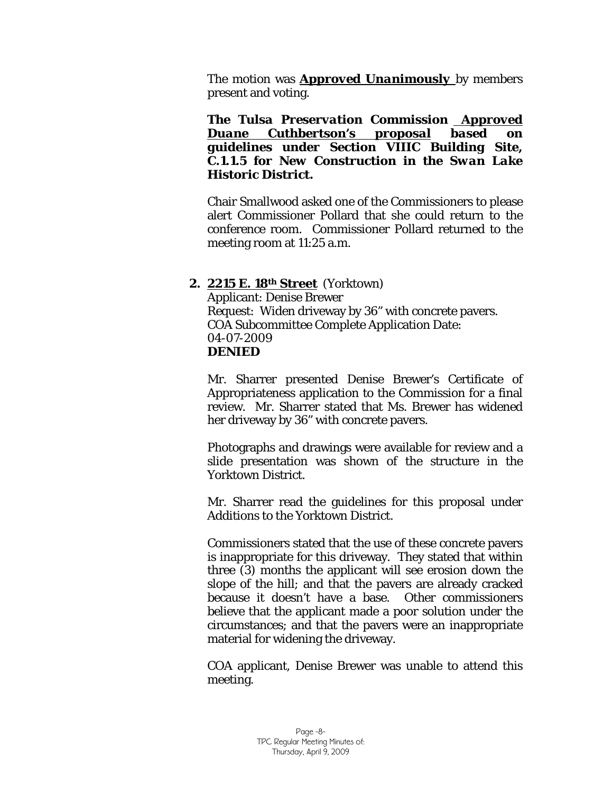The motion was *Approved Unanimously* by members present and voting.

*The Tulsa Preservation Commission Approved Duane Cuthbertson's proposal based on guidelines under Section VIIIC Building Site, C.1.1.5 for New Construction in the Swan Lake Historic District.*

Chair Smallwood asked one of the Commissioners to please alert Commissioner Pollard that she could return to the conference room. Commissioner Pollard returned to the meeting room at 11:25 a.m.

#### **2. 2215 E. 18th Street** (Yorktown)

Applicant: Denise Brewer Request: Widen driveway by 36" with concrete pavers. COA Subcommittee Complete Application Date: 04-07-2009 *DENIED* 

Mr. Sharrer presented Denise Brewer's Certificate of Appropriateness application to the Commission for a final review. Mr. Sharrer stated that Ms. Brewer has widened her driveway by 36" with concrete pavers.

Photographs and drawings were available for review and a slide presentation was shown of the structure in the Yorktown District.

Mr. Sharrer read the guidelines for this proposal under *Additions* to the Yorktown District.

Commissioners stated that the use of these concrete pavers is inappropriate for this driveway. They stated that within three (3) months the applicant will see erosion down the slope of the hill; and that the pavers are already cracked because it doesn't have a base. Other commissioners believe that the applicant made a poor solution under the circumstances; and that the pavers were an inappropriate material for widening the driveway.

COA applicant, Denise Brewer was unable to attend this meeting.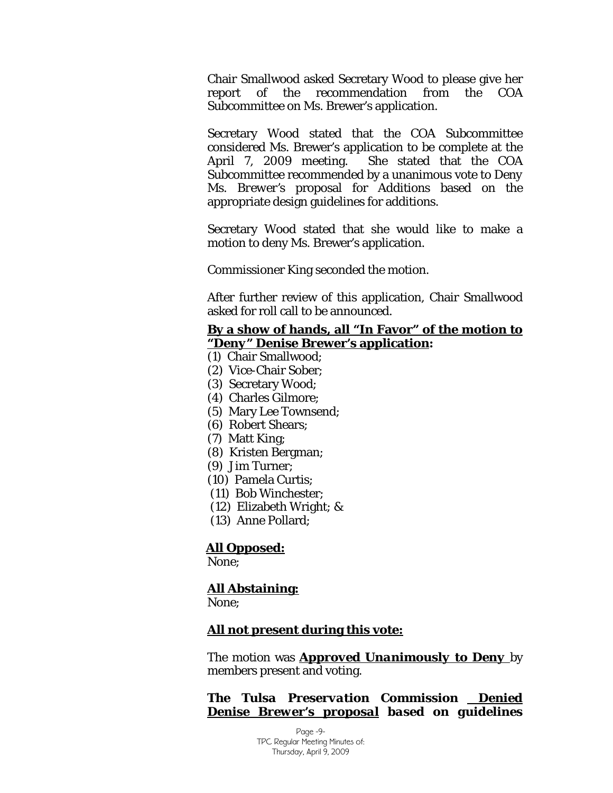Chair Smallwood asked Secretary Wood to please give her report of the recommendation from the COA Subcommittee on Ms. Brewer's application.

Secretary Wood stated that the COA Subcommittee considered Ms. Brewer's application to be complete at the April 7, 2009 meeting. She stated that the COA Subcommittee recommended by a unanimous vote to *Deny Ms. Brewer's* proposal for *Additions* based on the appropriate design guidelines for additions.

Secretary Wood stated that she would like to make a motion to deny Ms. Brewer's application.

Commissioner King seconded the motion.

After further review of this application, Chair Smallwood asked for roll call to be announced.

#### **By a show of hands, all "In Favor" of the motion to "***Deny"* **Denise Brewer's application:**

- (1) Chair Smallwood;
- (2) Vice-Chair Sober;
- (3) Secretary Wood;
- (4) Charles Gilmore;
- (5) Mary Lee Townsend;
- (6) Robert Shears;
- (7) Matt King;
- (8) Kristen Bergman;
- (9) Jim Turner;
- (10) Pamela Curtis;
- (11) Bob Winchester;
- (12) Elizabeth Wright; &
- (13) Anne Pollard;

#### **All Opposed:**

None;

#### **All Abstaining:**

None;

#### **All not present during this vote:**

The motion was *Approved Unanimously to Deny* by members present and voting.

#### *The Tulsa Preservation Commission Denied Denise Brewer's proposal based on guidelines*

Page -9- TPC Regular Meeting Minutes of: Thursday, April 9, 2009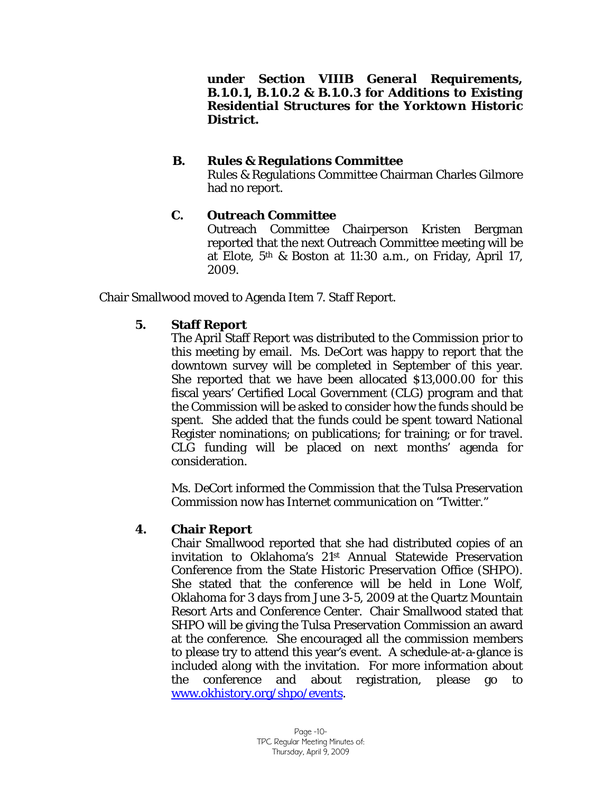*under Section VIIIB General Requirements, B.1.0.1, B.1.0.2 & B.1.0.3 for Additions to Existing Residential Structures for the Yorktown Historic District.*

## **B. Rules & Regulations Committee**

Rules & Regulations Committee Chairman Charles Gilmore had no report.

# **C. Outreach Committee**

Outreach Committee Chairperson Kristen Bergman reported that the next Outreach Committee meeting will be at Elote, 5th & Boston at 11:30 a.m., on Friday, April 17, 2009.

Chair Smallwood moved to Agenda Item 7. Staff Report.

## **5. Staff Report**

The April Staff Report was distributed to the Commission prior to this meeting by email. Ms. DeCort was happy to report that the downtown survey will be completed in September of this year. She reported that we have been allocated \$13,000.00 for this fiscal years' Certified Local Government (CLG) program and that the Commission will be asked to consider how the funds should be spent. She added that the funds could be spent toward National Register nominations; on publications; for training; or for travel. CLG funding will be placed on next months' agenda for consideration.

Ms. DeCort informed the Commission that the Tulsa Preservation Commission now has Internet communication on "Twitter."

## **4. Chair Report**

Chair Smallwood reported that she had distributed copies of an invitation to Oklahoma's 21st Annual Statewide Preservation Conference from the State Historic Preservation Office (SHPO). She stated that the conference will be held in Lone Wolf, Oklahoma for 3 days from June 3-5, 2009 at the Quartz Mountain Resort Arts and Conference Center. Chair Smallwood stated that SHPO will be giving the Tulsa Preservation Commission an award at the conference. She encouraged all the commission members to please try to attend this year's event. A schedule-at-a-glance is included along with the invitation. For more information about the conference and about registration, please go to [www.okhistory.org/shpo/events](http://www.okhistory.org/shpo/events).